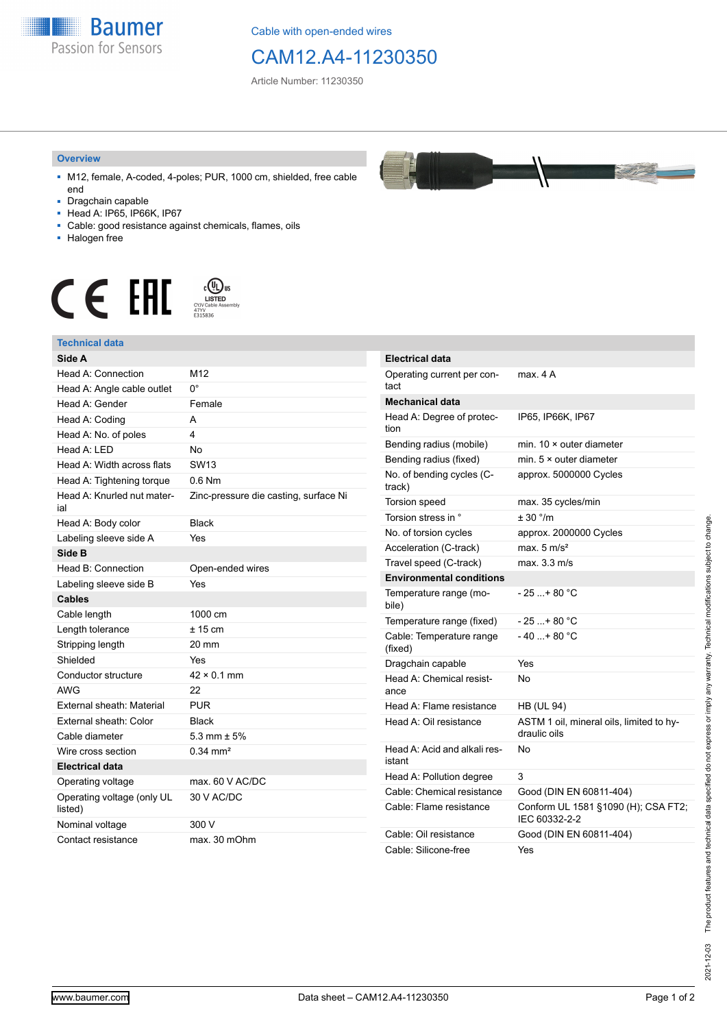

Cable with open-ended wires

## CAM12.A4-11230350

Article Number: 11230350

## **Overview**

- M12, female, A-coded, 4-poles; PUR, 1000 cm, shielded, free cable end
- Dragchain capable
- Head A: IP65, IP66K, IP67
- Cable: good resistance against chemicals, flames, oils
- Halogen free



## **Technical data**

| Side A                                |                                       | E       |
|---------------------------------------|---------------------------------------|---------|
| Head A: Connection                    | M12                                   | O       |
| Head A: Angle cable outlet            | U.                                    | ta      |
| Head A: Gender                        | Female                                | N       |
| Head A: Coding                        | A                                     | Н       |
| Head A: No. of poles                  | 4                                     | ti      |
| Head A: LED                           | <b>No</b>                             | B       |
| Head A: Width across flats            | <b>SW13</b>                           | B       |
| Head A: Tightening torque             | $0.6$ Nm                              | N<br>tr |
| Head A: Knurled nut mater-<br>ial     | Zinc-pressure die casting, surface Ni | Т       |
| Head A: Body color                    | <b>Black</b>                          | Т       |
| Labeling sleeve side A                | Yes                                   | N       |
| Side B                                |                                       | Α       |
| Head B: Connection                    | Open-ended wires                      | T       |
| Labeling sleeve side B                | Yes                                   | E       |
| <b>Cables</b>                         |                                       | Т<br>bi |
| Cable length                          | 1000 cm                               | Т       |
| Length tolerance                      | $± 15$ cm                             | C       |
| Stripping length                      | $20 \text{ mm}$                       | (f)     |
| Shielded                              | Yes                                   | D       |
| Conductor structure                   | $42 \times 0.1$ mm                    | Н       |
| <b>AWG</b>                            | 22                                    | a       |
| External sheath: Material             | <b>PUR</b>                            | Н       |
| External sheath: Color                | <b>Black</b>                          | Н       |
| Cable diameter                        | 5.3 mm $\pm$ 5%                       |         |
| Wire cross section                    | $0.34$ mm <sup>2</sup>                | Н       |
| <b>Electrical data</b>                |                                       | is      |
| Operating voltage                     | max. 60 V AC/DC                       | Н       |
| Operating voltage (only UL<br>listed) | 30 V AC/DC                            | C<br>C  |
| Nominal voltage                       | 300 V                                 |         |
| Contact resistance                    | max. 30 mOhm                          | С<br>C  |



| <b>Electrical data</b>                 |                                                          |
|----------------------------------------|----------------------------------------------------------|
| Operating current per con-<br>tact     | max. 4A                                                  |
| <b>Mechanical data</b>                 |                                                          |
| Head A: Degree of protec-<br>tion      | IP65, IP66K, IP67                                        |
| Bending radius (mobile)                | min. $10 \times$ outer diameter                          |
| Bending radius (fixed)                 | min. $5 \times$ outer diameter                           |
| No. of bending cycles (C-<br>track)    | approx. 5000000 Cycles                                   |
| Torsion speed                          | max. 35 cycles/min                                       |
| Torsion stress in °                    | $+30$ °/m                                                |
| No. of torsion cycles                  | approx. 2000000 Cycles                                   |
| Acceleration (C-track)                 | max. $5 \text{ m/s}^2$                                   |
| Travel speed (C-track)                 | max. 3.3 m/s                                             |
| <b>Environmental conditions</b>        |                                                          |
| Temperature range (mo-<br>bile)        | $-25+80 °C$                                              |
| Temperature range (fixed)              | $-25$ $+80$ °C                                           |
| Cable: Temperature range<br>(fixed)    | $-40+80 °C$                                              |
| Dragchain capable                      | Yes                                                      |
| Head A: Chemical resist-<br>ance       | No                                                       |
| Head A: Flame resistance               | <b>HB (UL 94)</b>                                        |
| Head A: Oil resistance                 | ASTM 1 oil, mineral oils, limited to hy-<br>draulic oils |
| Head A: Acid and alkali res-<br>istant | No                                                       |
| Head A: Pollution degree               | 3                                                        |
| Cable: Chemical resistance             | Good (DIN EN 60811-404)                                  |
| Cable: Flame resistance                | Conform UL 1581 §1090 (H); CSA FT2;<br>IEC 60332-2-2     |
| Cable: Oil resistance                  | Good (DIN EN 60811-404)                                  |
| Cable: Silicone-free                   | Yes                                                      |